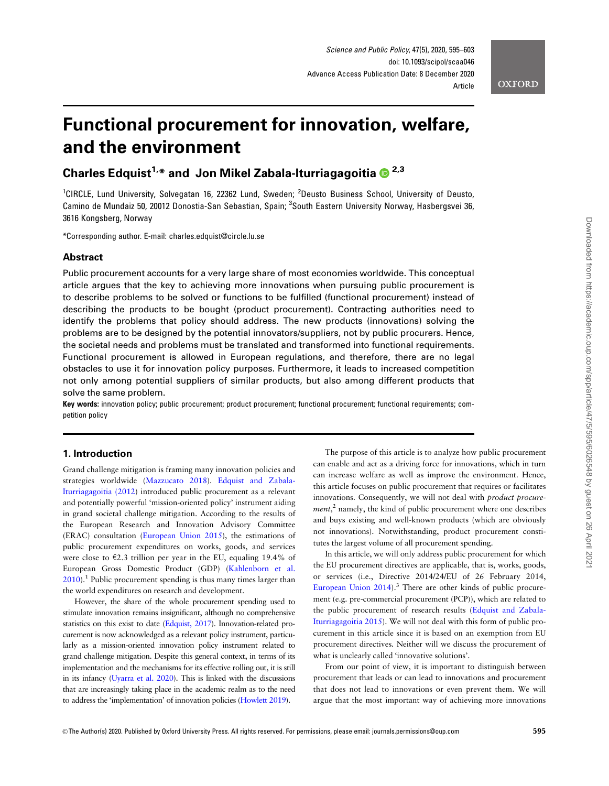**OXFORD** 

# Functional procurement for innovation, welfare, and the environment

Charles Edquist<sup>1,\*</sup> and Jon Mikel Zabala-Iturriagagoitia  $\bullet^{2,3}$ 

<sup>1</sup>CIRCLE, Lund University, Solvegatan 16, 22362 Lund, Sweden; <sup>2</sup>Deusto Business School, University of Deusto, Camino de Mundaiz 50, 20012 Donostia-San Sebastian, Spain; <sup>3</sup>South Eastern University Norway, Hasbergsvei 36, 3616 Kongsberg, Norway

\*Corresponding author. E-mail: charles.edquist@circle.lu.se

## **Abstract**

Public procurement accounts for a very large share of most economies worldwide. This conceptual article argues that the key to achieving more innovations when pursuing public procurement is to describe problems to be solved or functions to be fulfilled (functional procurement) instead of describing the products to be bought (product procurement). Contracting authorities need to identify the problems that policy should address. The new products (innovations) solving the problems are to be designed by the potential innovators/suppliers, not by public procurers. Hence, the societal needs and problems must be translated and transformed into functional requirements. Functional procurement is allowed in European regulations, and therefore, there are no legal obstacles to use it for innovation policy purposes. Furthermore, it leads to increased competition not only among potential suppliers of similar products, but also among different products that solve the same problem.

Key words: innovation policy; public procurement; product procurement; functional procurement; functional requirements; competition policy

# 1. Introduction

Grand challenge mitigation is framing many innovation policies and strategies worldwide ([Mazzucato 2018](#page-8-0)). [Edquist and Zabala-](#page-8-0)[Iturriagagoitia \(2012\)](#page-8-0) introduced public procurement as a relevant and potentially powerful 'mission-oriented policy' instrument aiding in grand societal challenge mitigation. According to the results of the European Research and Innovation Advisory Committee (ERAC) consultation ([European Union 2015\)](#page-8-0), the estimations of public procurement expenditures on works, goods, and services were close to  $E2.3$  trillion per year in the EU, equaling 19.4% of European Gross Domestic Product (GDP) ([Kahlenborn et al.](#page-8-0) [2010\)](#page-8-0).<sup>1</sup> Public procurement spending is thus many times larger than the world expenditures on research and development.

However, the share of the whole procurement spending used to stimulate innovation remains insignificant, although no comprehensive statistics on this exist to date [\(Edquist, 2017\)](#page-7-0). Innovation-related procurement is now acknowledged as a relevant policy instrument, particularly as a mission-oriented innovation policy instrument related to grand challenge mitigation. Despite this general context, in terms of its implementation and the mechanisms for its effective rolling out, it is still in its infancy [\(Uyarra et al. 2020](#page-8-0)). This is linked with the discussions that are increasingly taking place in the academic realm as to the need to address the 'implementation' of innovation policies ([Howlett 2019\)](#page-8-0).

The purpose of this article is to analyze how public procurement can enable and act as a driving force for innovations, which in turn can increase welfare as well as improve the environment. Hence, this article focuses on public procurement that requires or facilitates innovations. Consequently, we will not deal with product procure $ment$ <sup>2</sup> namely, the kind of public procurement where one describes and buys existing and well-known products (which are obviously not innovations). Notwithstanding, product procurement constitutes the largest volume of all procurement spending.

In this article, we will only address public procurement for which the EU procurement directives are applicable, that is, works, goods, or services (i.e., Directive 2014/24/EU of 26 February 2014, [European Union 2014\)](#page-8-0).<sup>3</sup> There are other kinds of public procurement (e.g. pre-commercial procurement (PCP)), which are related to the public procurement of research results [\(Edquist and Zabala-](#page-8-0)[Iturriagagoitia 2015\)](#page-8-0). We will not deal with this form of public procurement in this article since it is based on an exemption from EU procurement directives. Neither will we discuss the procurement of what is unclearly called 'innovative solutions'.

From our point of view, it is important to distinguish between procurement that leads or can lead to innovations and procurement that does not lead to innovations or even prevent them. We will argue that the most important way of achieving more innovations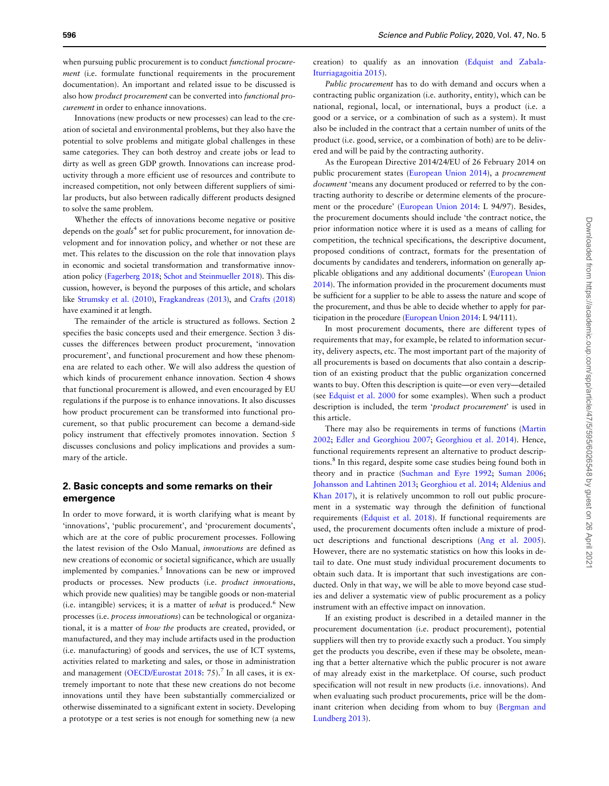when pursuing public procurement is to conduct *functional procure*ment (i.e. formulate functional requirements in the procurement documentation). An important and related issue to be discussed is also how product procurement can be converted into functional procurement in order to enhance innovations.

Innovations (new products or new processes) can lead to the creation of societal and environmental problems, but they also have the potential to solve problems and mitigate global challenges in these same categories. They can both destroy and create jobs or lead to dirty as well as green GDP growth. Innovations can increase productivity through a more efficient use of resources and contribute to increased competition, not only between different suppliers of similar products, but also between radically different products designed to solve the same problem.

Whether the effects of innovations become negative or positive depends on the goals<sup>4</sup> set for public procurement, for innovation development and for innovation policy, and whether or not these are met. This relates to the discussion on the role that innovation plays in economic and societal transformation and transformative innovation policy ([Fagerberg 2018](#page-8-0); [Schot and Steinmueller 2018](#page-8-0)). This discussion, however, is beyond the purposes of this article, and scholars like [Strumsky et al. \(2010\)](#page-8-0), [Fragkandreas \(2013\)](#page-8-0), and [Crafts \(2018](#page-7-0)) have examined it at length.

The remainder of the article is structured as follows. Section 2 specifies the basic concepts used and their emergence. Section 3 discusses the differences between product procurement, 'innovation procurement', and functional procurement and how these phenomena are related to each other. We will also address the question of which kinds of procurement enhance innovation. Section 4 shows that functional procurement is allowed, and even encouraged by EU regulations if the purpose is to enhance innovations. It also discusses how product procurement can be transformed into functional procurement, so that public procurement can become a demand-side policy instrument that effectively promotes innovation. Section 5 discusses conclusions and policy implications and provides a summary of the article.

# 2. Basic concepts and some remarks on their emergence

In order to move forward, it is worth clarifying what is meant by 'innovations', 'public procurement', and 'procurement documents', which are at the core of public procurement processes. Following the latest revision of the Oslo Manual, innovations are defined as new creations of economic or societal significance, which are usually implemented by companies.<sup>5</sup> Innovations can be new or improved products or processes. New products (i.e. product innovations, which provide new qualities) may be tangible goods or non-material (i.e. intangible) services; it is a matter of *what* is produced.<sup>6</sup> New processes (i.e. process innovations) can be technological or organizational, it is a matter of how the products are created, provided, or manufactured, and they may include artifacts used in the production (i.e. manufacturing) of goods and services, the use of ICT systems, activities related to marketing and sales, or those in administration and management ([OECD/Eurostat 2018](#page-8-0): 75).<sup>7</sup> In all cases, it is extremely important to note that these new creations do not become innovations until they have been substantially commercialized or otherwise disseminated to a significant extent in society. Developing a prototype or a test series is not enough for something new (a new

creation) to qualify as an innovation [\(Edquist and Zabala-](#page-8-0)[Iturriagagoitia 2015](#page-8-0)).

Public procurement has to do with demand and occurs when a contracting public organization (i.e. authority, entity), which can be national, regional, local, or international, buys a product (i.e. a good or a service, or a combination of such as a system). It must also be included in the contract that a certain number of units of the product (i.e. good, service, or a combination of both) are to be delivered and will be paid by the contracting authority.

As the European Directive 2014/24/EU of 26 February 2014 on public procurement states ([European Union 2014\)](#page-8-0), a procurement document 'means any document produced or referred to by the contracting authority to describe or determine elements of the procurement or the procedure' [\(European Union 2014:](#page-8-0) L 94/97). Besides, the procurement documents should include 'the contract notice, the prior information notice where it is used as a means of calling for competition, the technical specifications, the descriptive document, proposed conditions of contract, formats for the presentation of documents by candidates and tenderers, information on generally applicable obligations and any additional documents' [\(European Union](#page-8-0) [2014](#page-8-0)). The information provided in the procurement documents must be sufficient for a supplier to be able to assess the nature and scope of the procurement, and thus be able to decide whether to apply for participation in the procedure [\(European Union 2014](#page-8-0): L 94/111).

In most procurement documents, there are different types of requirements that may, for example, be related to information security, delivery aspects, etc. The most important part of the majority of all procurements is based on documents that also contain a description of an existing product that the public organization concerned wants to buy. Often this description is quite—or even very—detailed (see [Edquist et al. 2000](#page-8-0) for some examples). When such a product description is included, the term 'product procurement' is used in this article.

There may also be requirements in terms of functions ([Martin](#page-8-0) [2002;](#page-8-0) [Edler and Georghiou 2007](#page-7-0); [Georghiou et al. 2014](#page-8-0)). Hence, functional requirements represent an alternative to product descriptions.8 In this regard, despite some case studies being found both in theory and in practice [\(Suchman and Eyre 1992;](#page-8-0) [Suman 2006;](#page-8-0) [Johansson and Lahtinen 2013](#page-8-0); [Georghiou et al. 2014](#page-8-0); [Aldenius and](#page-7-0) [Khan 2017](#page-7-0)), it is relatively uncommon to roll out public procurement in a systematic way through the definition of functional requirements ([Edquist et al. 2018\)](#page-7-0). If functional requirements are used, the procurement documents often include a mixture of product descriptions and functional descriptions [\(Ang et al. 2005](#page-7-0)). However, there are no systematic statistics on how this looks in detail to date. One must study individual procurement documents to obtain such data. It is important that such investigations are conducted. Only in that way, we will be able to move beyond case studies and deliver a systematic view of public procurement as a policy instrument with an effective impact on innovation.

If an existing product is described in a detailed manner in the procurement documentation (i.e. product procurement), potential suppliers will then try to provide exactly such a product. You simply get the products you describe, even if these may be obsolete, meaning that a better alternative which the public procurer is not aware of may already exist in the marketplace. Of course, such product specification will not result in new products (i.e. innovations). And when evaluating such product procurements, price will be the dominant criterion when deciding from whom to buy ([Bergman and](#page-7-0) [Lundberg 2013\)](#page-7-0).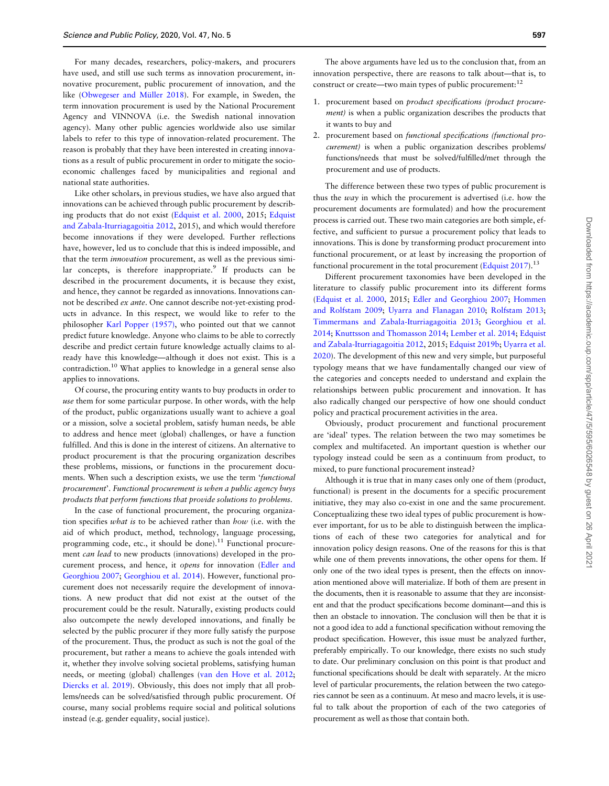For many decades, researchers, policy-makers, and procurers have used, and still use such terms as innovation procurement, innovative procurement, public procurement of innovation, and the like (Obwegeser and Müller 2018). For example, in Sweden, the term innovation procurement is used by the National Procurement Agency and VINNOVA (i.e. the Swedish national innovation agency). Many other public agencies worldwide also use similar labels to refer to this type of innovation-related procurement. The reason is probably that they have been interested in creating innovations as a result of public procurement in order to mitigate the socioeconomic challenges faced by municipalities and regional and national state authorities.

Like other scholars, in previous studies, we have also argued that innovations can be achieved through public procurement by describing products that do not exist [\(Edquist et al. 2000,](#page-8-0) 2015; [Edquist](#page-8-0) [and Zabala-Iturriagagoitia 2012,](#page-8-0) 2015), and which would therefore become innovations if they were developed. Further reflections have, however, led us to conclude that this is indeed impossible, and that the term *innovation* procurement, as well as the previous similar concepts, is therefore inappropriate. $9$  If products can be described in the procurement documents, it is because they exist, and hence, they cannot be regarded as innovations. Innovations cannot be described ex ante. One cannot describe not-yet-existing products in advance. In this respect, we would like to refer to the philosopher [Karl Popper \(1957\),](#page-8-0) who pointed out that we cannot predict future knowledge. Anyone who claims to be able to correctly describe and predict certain future knowledge actually claims to already have this knowledge—although it does not exist. This is a contradiction.10 What applies to knowledge in a general sense also applies to innovations.

Of course, the procuring entity wants to buy products in order to use them for some particular purpose. In other words, with the help of the product, public organizations usually want to achieve a goal or a mission, solve a societal problem, satisfy human needs, be able to address and hence meet (global) challenges, or have a function fulfilled. And this is done in the interest of citizens. An alternative to product procurement is that the procuring organization describes these problems, missions, or functions in the procurement documents. When such a description exists, we use the term 'functional procurement'. Functional procurement is when a public agency buys products that perform functions that provide solutions to problems.

In the case of functional procurement, the procuring organization specifies what is to be achieved rather than how (i.e. with the aid of which product, method, technology, language processing, programming code, etc., it should be done).<sup>11</sup> Functional procurement *can lead* to new products (innovations) developed in the procurement process, and hence, it opens for innovation [\(Edler and](#page-7-0) [Georghiou 2007](#page-7-0); [Georghiou et al. 2014](#page-8-0)). However, functional procurement does not necessarily require the development of innovations. A new product that did not exist at the outset of the procurement could be the result. Naturally, existing products could also outcompete the newly developed innovations, and finally be selected by the public procurer if they more fully satisfy the purpose of the procurement. Thus, the product as such is not the goal of the procurement, but rather a means to achieve the goals intended with it, whether they involve solving societal problems, satisfying human needs, or meeting (global) challenges [\(van den Hove et al. 2012;](#page-8-0) [Diercks et al. 2019\)](#page-7-0). Obviously, this does not imply that all problems/needs can be solved/satisfied through public procurement. Of course, many social problems require social and political solutions instead (e.g. gender equality, social justice).

The above arguments have led us to the conclusion that, from an innovation perspective, there are reasons to talk about—that is, to construct or create—two main types of public procurement: $12$ 

- 1. procurement based on product specifications (product procurement) is when a public organization describes the products that it wants to buy and
- 2. procurement based on functional specifications (functional procurement) is when a public organization describes problems/ functions/needs that must be solved/fulfilled/met through the procurement and use of products.

The difference between these two types of public procurement is thus the way in which the procurement is advertised (i.e. how the procurement documents are formulated) and how the procurement process is carried out. These two main categories are both simple, effective, and sufficient to pursue a procurement policy that leads to innovations. This is done by transforming product procurement into functional procurement, or at least by increasing the proportion of functional procurement in the total procurement ([Edquist 2017](#page-7-0)).<sup>13</sup>

Different procurement taxonomies have been developed in the literature to classify public procurement into its different forms ([Edquist et al. 2000,](#page-8-0) 2015; [Edler and Georghiou 2007](#page-7-0); [Hommen](#page-8-0) [and Rolfstam 2009;](#page-8-0) [Uyarra and Flanagan 2010;](#page-8-0) [Rolfstam 2013;](#page-8-0) [Timmermans and Zabala-Iturriagagoitia 2013;](#page-8-0) [Georghiou et al.](#page-8-0) [2014;](#page-8-0) [Knuttsson and Thomasson 2014;](#page-8-0) [Lember et al. 2014;](#page-8-0) [Edquist](#page-8-0) [and Zabala-Iturriagagoitia 2012](#page-8-0), 2015; [Edquist 2019b](#page-7-0); [Uyarra et al.](#page-8-0) [2020\)](#page-8-0). The development of this new and very simple, but purposeful typology means that we have fundamentally changed our view of the categories and concepts needed to understand and explain the relationships between public procurement and innovation. It has also radically changed our perspective of how one should conduct policy and practical procurement activities in the area.

Obviously, product procurement and functional procurement are 'ideal' types. The relation between the two may sometimes be complex and multifaceted. An important question is whether our typology instead could be seen as a continuum from product, to mixed, to pure functional procurement instead?

Although it is true that in many cases only one of them (product, functional) is present in the documents for a specific procurement initiative, they may also co-exist in one and the same procurement. Conceptualizing these two ideal types of public procurement is however important, for us to be able to distinguish between the implications of each of these two categories for analytical and for innovation policy design reasons. One of the reasons for this is that while one of them prevents innovations, the other opens for them. If only one of the two ideal types is present, then the effects on innovation mentioned above will materialize. If both of them are present in the documents, then it is reasonable to assume that they are inconsistent and that the product specifications become dominant—and this is then an obstacle to innovation. The conclusion will then be that it is not a good idea to add a functional specification without removing the product specification. However, this issue must be analyzed further, preferably empirically. To our knowledge, there exists no such study to date. Our preliminary conclusion on this point is that product and functional specifications should be dealt with separately. At the micro level of particular procurements, the relation between the two categories cannot be seen as a continuum. At meso and macro levels, it is useful to talk about the proportion of each of the two categories of procurement as well as those that contain both.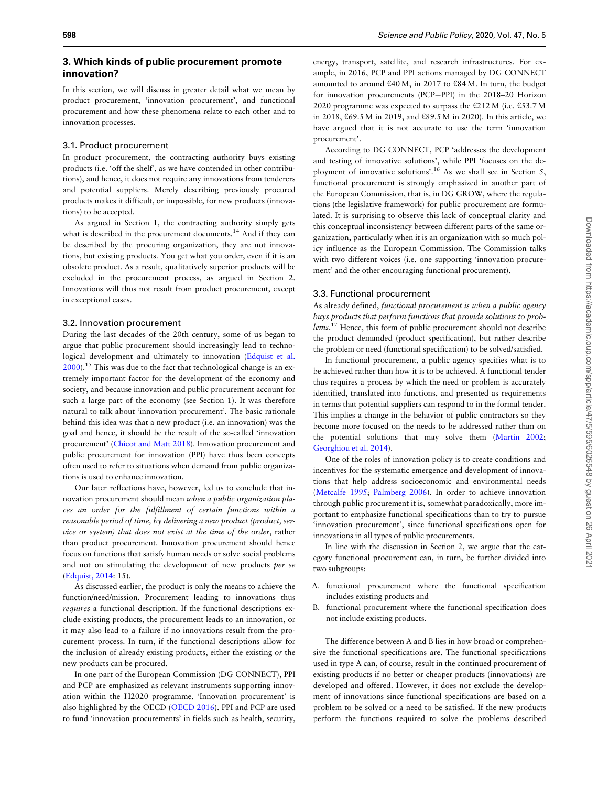# 3. Which kinds of public procurement promote innovation?

In this section, we will discuss in greater detail what we mean by product procurement, 'innovation procurement', and functional procurement and how these phenomena relate to each other and to innovation processes.

#### 3.1. Product procurement

In product procurement, the contracting authority buys existing products (i.e. 'off the shelf', as we have contended in other contributions), and hence, it does not require any innovations from tenderers and potential suppliers. Merely describing previously procured products makes it difficult, or impossible, for new products (innovations) to be accepted.

As argued in Section 1, the contracting authority simply gets what is described in the procurement documents.<sup>14</sup> And if they can be described by the procuring organization, they are not innovations, but existing products. You get what you order, even if it is an obsolete product. As a result, qualitatively superior products will be excluded in the procurement process, as argued in Section 2. Innovations will thus not result from product procurement, except in exceptional cases.

#### 3.2. Innovation procurement

During the last decades of the 20th century, some of us began to argue that public procurement should increasingly lead to techno-logical development and ultimately to innovation [\(Edquist et al.](#page-8-0) [2000\)](#page-8-0).<sup>15</sup> This was due to the fact that technological change is an extremely important factor for the development of the economy and society, and because innovation and public procurement account for such a large part of the economy (see Section 1). It was therefore natural to talk about 'innovation procurement'. The basic rationale behind this idea was that a new product (i.e. an innovation) was the goal and hence, it should be the result of the so-called 'innovation procurement' [\(Chicot and Matt 2018](#page-7-0)). Innovation procurement and public procurement for innovation (PPI) have thus been concepts often used to refer to situations when demand from public organizations is used to enhance innovation.

Our later reflections have, however, led us to conclude that innovation procurement should mean when a public organization places an order for the fulfillment of certain functions within a reasonable period of time, by delivering a new product (product, service or system) that does not exist at the time of the order, rather than product procurement. Innovation procurement should hence focus on functions that satisfy human needs or solve social problems and not on stimulating the development of new products per se ([Edquist, 2014:](#page-7-0) 15).

As discussed earlier, the product is only the means to achieve the function/need/mission. Procurement leading to innovations thus requires a functional description. If the functional descriptions exclude existing products, the procurement leads to an innovation, or it may also lead to a failure if no innovations result from the procurement process. In turn, if the functional descriptions allow for the inclusion of already existing products, either the existing or the new products can be procured.

In one part of the European Commission (DG CONNECT), PPI and PCP are emphasized as relevant instruments supporting innovation within the H2020 programme. 'Innovation procurement' is also highlighted by the OECD [\(OECD 2016\)](#page-8-0). PPI and PCP are used to fund 'innovation procurements' in fields such as health, security,

energy, transport, satellite, and research infrastructures. For example, in 2016, PCP and PPI actions managed by DG CONNECT amounted to around  $\epsilon$ 40 M, in 2017 to  $\epsilon$ 84 M. In turn, the budget for innovation procurements (PCP+PPI) in the 2018–20 Horizon 2020 programme was expected to surpass the  $E$ 212 M (i.e.  $E$ 53.7 M in 2018, €69.5 M in 2019, and €89.5 M in 2020). In this article, we have argued that it is not accurate to use the term 'innovation procurement'.

According to DG CONNECT, PCP 'addresses the development and testing of innovative solutions', while PPI 'focuses on the deployment of innovative solutions'.16 As we shall see in Section 5, functional procurement is strongly emphasized in another part of the European Commission, that is, in DG GROW, where the regulations (the legislative framework) for public procurement are formulated. It is surprising to observe this lack of conceptual clarity and this conceptual inconsistency between different parts of the same organization, particularly when it is an organization with so much policy influence as the European Commission. The Commission talks with two different voices (i.e. one supporting 'innovation procurement' and the other encouraging functional procurement).

#### 3.3. Functional procurement

As already defined, functional procurement is when a public agency buys products that perform functions that provide solutions to problems.<sup>17</sup> Hence, this form of public procurement should not describe the product demanded (product specification), but rather describe the problem or need (functional specification) to be solved/satisfied.

In functional procurement, a public agency specifies what is to be achieved rather than how it is to be achieved. A functional tender thus requires a process by which the need or problem is accurately identified, translated into functions, and presented as requirements in terms that potential suppliers can respond to in the formal tender. This implies a change in the behavior of public contractors so they become more focused on the needs to be addressed rather than on the potential solutions that may solve them [\(Martin 2002;](#page-8-0) [Georghiou et al. 2014](#page-8-0)).

One of the roles of innovation policy is to create conditions and incentives for the systematic emergence and development of innovations that help address socioeconomic and environmental needs ([Metcalfe 1995;](#page-8-0) [Palmberg 2006\)](#page-8-0). In order to achieve innovation through public procurement it is, somewhat paradoxically, more important to emphasize functional specifications than to try to pursue 'innovation procurement', since functional specifications open for innovations in all types of public procurements.

In line with the discussion in Section 2, we argue that the category functional procurement can, in turn, be further divided into two subgroups:

- A. functional procurement where the functional specification includes existing products and
- B. functional procurement where the functional specification does not include existing products.

The difference between A and B lies in how broad or comprehensive the functional specifications are. The functional specifications used in type A can, of course, result in the continued procurement of existing products if no better or cheaper products (innovations) are developed and offered. However, it does not exclude the development of innovations since functional specifications are based on a problem to be solved or a need to be satisfied. If the new products perform the functions required to solve the problems described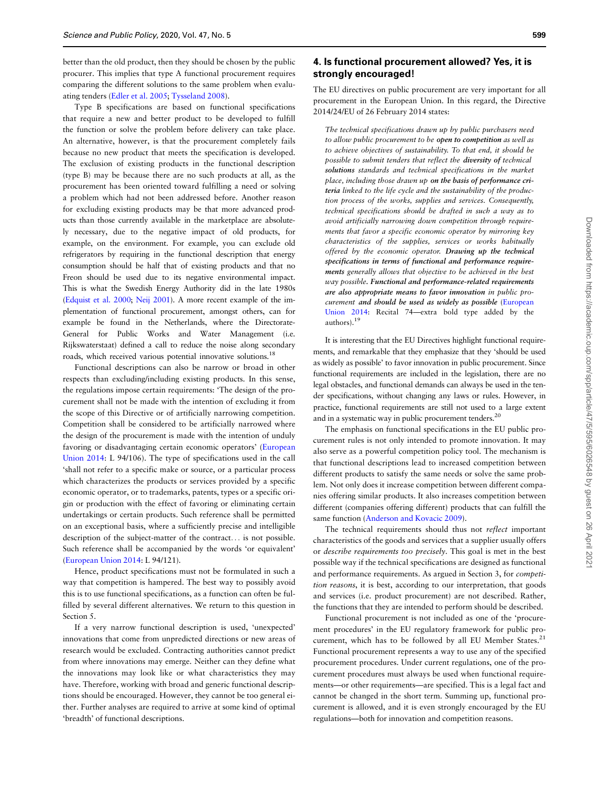better than the old product, then they should be chosen by the public procurer. This implies that type A functional procurement requires comparing the different solutions to the same problem when evaluating tenders ([Edler et al. 2005](#page-7-0); [Tysseland 2008](#page-8-0)).

Type B specifications are based on functional specifications that require a new and better product to be developed to fulfill the function or solve the problem before delivery can take place. An alternative, however, is that the procurement completely fails because no new product that meets the specification is developed. The exclusion of existing products in the functional description (type B) may be because there are no such products at all, as the procurement has been oriented toward fulfilling a need or solving a problem which had not been addressed before. Another reason for excluding existing products may be that more advanced products than those currently available in the marketplace are absolutely necessary, due to the negative impact of old products, for example, on the environment. For example, you can exclude old refrigerators by requiring in the functional description that energy consumption should be half that of existing products and that no Freon should be used due to its negative environmental impact. This is what the Swedish Energy Authority did in the late 1980s ([Edquist et al. 2000;](#page-8-0) [Neij 2001](#page-8-0)). A more recent example of the implementation of functional procurement, amongst others, can for example be found in the Netherlands, where the Directorate-General for Public Works and Water Management (i.e. Rijkswaterstaat) defined a call to reduce the noise along secondary roads, which received various potential innovative solutions.18

Functional descriptions can also be narrow or broad in other respects than excluding/including existing products. In this sense, the regulations impose certain requirements: 'The design of the procurement shall not be made with the intention of excluding it from the scope of this Directive or of artificially narrowing competition. Competition shall be considered to be artificially narrowed where the design of the procurement is made with the intention of unduly favoring or disadvantaging certain economic operators' ([European](#page-8-0) [Union 2014:](#page-8-0) L 94/106). The type of specifications used in the call 'shall not refer to a specific make or source, or a particular process which characterizes the products or services provided by a specific economic operator, or to trademarks, patents, types or a specific origin or production with the effect of favoring or eliminating certain undertakings or certain products. Such reference shall be permitted on an exceptional basis, where a sufficiently precise and intelligible description of the subject-matter of the contract... is not possible. Such reference shall be accompanied by the words 'or equivalent' ([European Union 2014:](#page-8-0) L 94/121).

Hence, product specifications must not be formulated in such a way that competition is hampered. The best way to possibly avoid this is to use functional specifications, as a function can often be fulfilled by several different alternatives. We return to this question in Section 5.

If a very narrow functional description is used, 'unexpected' innovations that come from unpredicted directions or new areas of research would be excluded. Contracting authorities cannot predict from where innovations may emerge. Neither can they define what the innovations may look like or what characteristics they may have. Therefore, working with broad and generic functional descriptions should be encouraged. However, they cannot be too general either. Further analyses are required to arrive at some kind of optimal 'breadth' of functional descriptions.

# 4. Is functional procurement allowed? Yes, it is strongly encouraged!

The EU directives on public procurement are very important for all procurement in the European Union. In this regard, the Directive 2014/24/EU of 26 February 2014 states:

The technical specifications drawn up by public purchasers need to allow public procurement to be open to competition as well as to achieve objectives of sustainability. To that end, it should be possible to submit tenders that reflect the diversity of technical solutions standards and technical specifications in the market place, including those drawn up on the basis of performance criteria linked to the life cycle and the sustainability of the production process of the works, supplies and services. Consequently, technical specifications should be drafted in such a way as to avoid artificially narrowing down competition through requirements that favor a specific economic operator by mirroring key characteristics of the supplies, services or works habitually offered by the economic operator. Drawing up the technical specifications in terms of functional and performance requirements generally allows that objective to be achieved in the best way possible. Functional and performance-related requirements are also appropriate means to favor innovation in public procurement and should be used as widely as possible ([European](#page-8-0) [Union 2014:](#page-8-0) Recital 74—extra bold type added by the authors).<sup>19</sup>

It is interesting that the EU Directives highlight functional requirements, and remarkable that they emphasize that they 'should be used as widely as possible' to favor innovation in public procurement. Since functional requirements are included in the legislation, there are no legal obstacles, and functional demands can always be used in the tender specifications, without changing any laws or rules. However, in practice, functional requirements are still not used to a large extent and in a systematic way in public procurement tenders.<sup>20</sup>

The emphasis on functional specifications in the EU public procurement rules is not only intended to promote innovation. It may also serve as a powerful competition policy tool. The mechanism is that functional descriptions lead to increased competition between different products to satisfy the same needs or solve the same problem. Not only does it increase competition between different companies offering similar products. It also increases competition between different (companies offering different) products that can fulfill the same function ([Anderson and Kovacic 2009\)](#page-7-0).

The technical requirements should thus not *reflect* important characteristics of the goods and services that a supplier usually offers or describe requirements too precisely. This goal is met in the best possible way if the technical specifications are designed as functional and performance requirements. As argued in Section 3, for competition reasons, it is best, according to our interpretation, that goods and services (i.e. product procurement) are not described. Rather, the functions that they are intended to perform should be described.

Functional procurement is not included as one of the 'procurement procedures' in the EU regulatory framework for public procurement, which has to be followed by all EU Member States.<sup>21</sup> Functional procurement represents a way to use any of the specified procurement procedures. Under current regulations, one of the procurement procedures must always be used when functional requirements—or other requirements—are specified. This is a legal fact and cannot be changed in the short term. Summing up, functional procurement is allowed, and it is even strongly encouraged by the EU regulations—both for innovation and competition reasons.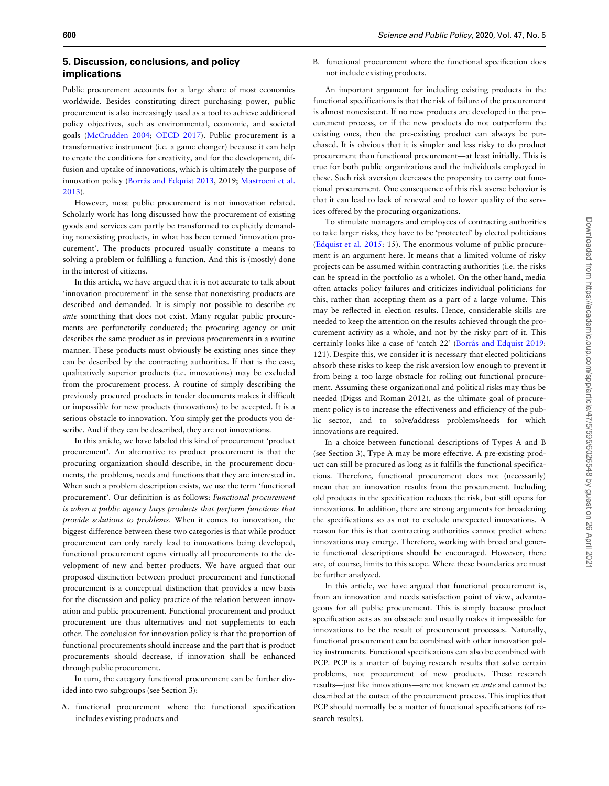# 5. Discussion, conclusions, and policy implications

Public procurement accounts for a large share of most economies worldwide. Besides constituting direct purchasing power, public procurement is also increasingly used as a tool to achieve additional policy objectives, such as environmental, economic, and societal goals [\(McCrudden 2004;](#page-8-0) [OECD 2017\)](#page-8-0). Public procurement is a transformative instrument (i.e. a game changer) because it can help to create the conditions for creativity, and for the development, diffusion and uptake of innovations, which is ultimately the purpose of innovation policy (Borrás and Edquist 2013, 2019; [Mastroeni et al.](#page-8-0) [2013\)](#page-8-0).

However, most public procurement is not innovation related. Scholarly work has long discussed how the procurement of existing goods and services can partly be transformed to explicitly demanding nonexisting products, in what has been termed 'innovation procurement'. The products procured usually constitute a means to solving a problem or fulfilling a function. And this is (mostly) done in the interest of citizens.

In this article, we have argued that it is not accurate to talk about 'innovation procurement' in the sense that nonexisting products are described and demanded. It is simply not possible to describe ex ante something that does not exist. Many regular public procurements are perfunctorily conducted; the procuring agency or unit describes the same product as in previous procurements in a routine manner. These products must obviously be existing ones since they can be described by the contracting authorities. If that is the case, qualitatively superior products (i.e. innovations) may be excluded from the procurement process. A routine of simply describing the previously procured products in tender documents makes it difficult or impossible for new products (innovations) to be accepted. It is a serious obstacle to innovation. You simply get the products you describe. And if they can be described, they are not innovations.

In this article, we have labeled this kind of procurement 'product procurement'. An alternative to product procurement is that the procuring organization should describe, in the procurement documents, the problems, needs and functions that they are interested in. When such a problem description exists, we use the term 'functional procurement'. Our definition is as follows: Functional procurement is when a public agency buys products that perform functions that provide solutions to problems. When it comes to innovation, the biggest difference between these two categories is that while product procurement can only rarely lead to innovations being developed, functional procurement opens virtually all procurements to the development of new and better products. We have argued that our proposed distinction between product procurement and functional procurement is a conceptual distinction that provides a new basis for the discussion and policy practice of the relation between innovation and public procurement. Functional procurement and product procurement are thus alternatives and not supplements to each other. The conclusion for innovation policy is that the proportion of functional procurements should increase and the part that is product procurements should decrease, if innovation shall be enhanced through public procurement.

In turn, the category functional procurement can be further divided into two subgroups (see Section 3):

A. functional procurement where the functional specification includes existing products and

B. functional procurement where the functional specification does not include existing products.

An important argument for including existing products in the functional specifications is that the risk of failure of the procurement is almost nonexistent. If no new products are developed in the procurement process, or if the new products do not outperform the existing ones, then the pre-existing product can always be purchased. It is obvious that it is simpler and less risky to do product procurement than functional procurement—at least initially. This is true for both public organizations and the individuals employed in these. Such risk aversion decreases the propensity to carry out functional procurement. One consequence of this risk averse behavior is that it can lead to lack of renewal and to lower quality of the services offered by the procuring organizations.

To stimulate managers and employees of contracting authorities to take larger risks, they have to be 'protected' by elected politicians ([Edquist et al. 2015](#page-8-0): 15). The enormous volume of public procurement is an argument here. It means that a limited volume of risky projects can be assumed within contracting authorities (i.e. the risks can be spread in the portfolio as a whole). On the other hand, media often attacks policy failures and criticizes individual politicians for this, rather than accepting them as a part of a large volume. This may be reflected in election results. Hence, considerable skills are needed to keep the attention on the results achieved through the procurement activity as a whole, and not by the risky part of it. This certainly looks like a case of 'catch 22' (Borrás and Edquist 2019: 121). Despite this, we consider it is necessary that elected politicians absorb these risks to keep the risk aversion low enough to prevent it from being a too large obstacle for rolling out functional procurement. Assuming these organizational and political risks may thus be needed (Digss and Roman 2012), as the ultimate goal of procurement policy is to increase the effectiveness and efficiency of the public sector, and to solve/address problems/needs for which innovations are required.

In a choice between functional descriptions of Types A and B (see Section 3), Type A may be more effective. A pre-existing product can still be procured as long as it fulfills the functional specifications. Therefore, functional procurement does not (necessarily) mean that an innovation results from the procurement. Including old products in the specification reduces the risk, but still opens for innovations. In addition, there are strong arguments for broadening the specifications so as not to exclude unexpected innovations. A reason for this is that contracting authorities cannot predict where innovations may emerge. Therefore, working with broad and generic functional descriptions should be encouraged. However, there are, of course, limits to this scope. Where these boundaries are must be further analyzed.

In this article, we have argued that functional procurement is, from an innovation and needs satisfaction point of view, advantageous for all public procurement. This is simply because product specification acts as an obstacle and usually makes it impossible for innovations to be the result of procurement processes. Naturally, functional procurement can be combined with other innovation policy instruments. Functional specifications can also be combined with PCP. PCP is a matter of buying research results that solve certain problems, not procurement of new products. These research results—just like innovations—are not known ex ante and cannot be described at the outset of the procurement process. This implies that PCP should normally be a matter of functional specifications (of research results).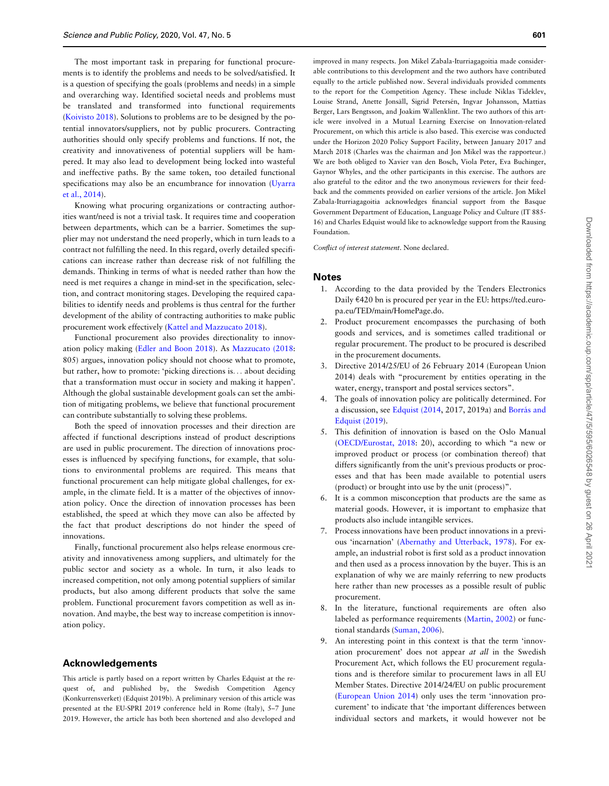The most important task in preparing for functional procurements is to identify the problems and needs to be solved/satisfied. It is a question of specifying the goals (problems and needs) in a simple and overarching way. Identified societal needs and problems must be translated and transformed into functional requirements ([Koivisto 2018](#page-8-0)). Solutions to problems are to be designed by the potential innovators/suppliers, not by public procurers. Contracting authorities should only specify problems and functions. If not, the creativity and innovativeness of potential suppliers will be hampered. It may also lead to development being locked into wasteful and ineffective paths. By the same token, too detailed functional specifications may also be an encumbrance for innovation [\(Uyarra](#page-8-0) [et al., 2014\)](#page-8-0).

Knowing what procuring organizations or contracting authorities want/need is not a trivial task. It requires time and cooperation between departments, which can be a barrier. Sometimes the supplier may not understand the need properly, which in turn leads to a contract not fulfilling the need. In this regard, overly detailed specifications can increase rather than decrease risk of not fulfilling the demands. Thinking in terms of what is needed rather than how the need is met requires a change in mind-set in the specification, selection, and contract monitoring stages. Developing the required capabilities to identify needs and problems is thus central for the further development of the ability of contracting authorities to make public procurement work effectively [\(Kattel and Mazzucato 2018\)](#page-8-0).

Functional procurement also provides directionality to innovation policy making ([Edler and Boon 2018](#page-7-0)). As [Mazzucato \(2018:](#page-8-0) 805) argues, innovation policy should not choose what to promote, but rather, how to promote: 'picking directions is... about deciding that a transformation must occur in society and making it happen'. Although the global sustainable development goals can set the ambition of mitigating problems, we believe that functional procurement can contribute substantially to solving these problems.

Both the speed of innovation processes and their direction are affected if functional descriptions instead of product descriptions are used in public procurement. The direction of innovations processes is influenced by specifying functions, for example, that solutions to environmental problems are required. This means that functional procurement can help mitigate global challenges, for example, in the climate field. It is a matter of the objectives of innovation policy. Once the direction of innovation processes has been established, the speed at which they move can also be affected by the fact that product descriptions do not hinder the speed of innovations.

Finally, functional procurement also helps release enormous creativity and innovativeness among suppliers, and ultimately for the public sector and society as a whole. In turn, it also leads to increased competition, not only among potential suppliers of similar products, but also among different products that solve the same problem. Functional procurement favors competition as well as innovation. And maybe, the best way to increase competition is innovation policy.

### Acknowledgements

This article is partly based on a report written by Charles Edquist at the request of, and published by, the Swedish Competition Agency (Konkurrensverket) (Edquist 2019b). A preliminary version of this article was presented at the EU-SPRI 2019 conference held in Rome (Italy), 5–7 June 2019. However, the article has both been shortened and also developed and improved in many respects. Jon Mikel Zabala-Iturriagagoitia made considerable contributions to this development and the two authors have contributed equally to the article published now. Several individuals provided comments to the report for the Competition Agency. These include Niklas Tideklev, Louise Strand, Anette Jonsäll, Sigrid Petersén, Ingvar Johansson, Mattias Berger, Lars Bengtsson, and Joakim Wallenklint. The two authors of this article were involved in a Mutual Learning Exercise on Innovation-related Procurement, on which this article is also based. This exercise was conducted under the Horizon 2020 Policy Support Facility, between January 2017 and March 2018 (Charles was the chairman and Jon Mikel was the rapporteur.) We are both obliged to Xavier van den Bosch, Viola Peter, Eva Buchinger, Gaynor Whyles, and the other participants in this exercise. The authors are also grateful to the editor and the two anonymous reviewers for their feedback and the comments provided on earlier versions of the article. Jon Mikel Zabala-Iturriagagoitia acknowledges financial support from the Basque Government Department of Education, Language Policy and Culture (IT 885- 16) and Charles Edquist would like to acknowledge support from the Rausing Foundation.

Conflict of interest statement. None declared.

#### Notes

- 1. According to the data provided by the Tenders Electronics Daily  $\epsilon$ 420 bn is procured per year in the EU: https://ted.europa.eu/TED/main/HomePage.do.
- 2. Product procurement encompasses the purchasing of both goods and services, and is sometimes called traditional or regular procurement. The product to be procured is described in the procurement documents.
- 3. Directive 2014/25/EU of 26 February 2014 (European Union 2014) deals with "procurement by entities operating in the water, energy, transport and postal services sectors".
- 4. The goals of innovation policy are politically determined. For a discussion, see [Edquist \(2014,](#page-7-0) 2017, 2019a) and Borrás and [Edquist \(2019](#page-7-0)).
- 5. This definition of innovation is based on the Oslo Manual ([OECD/Eurostat, 2018:](#page-8-0) 20), according to which "a new or improved product or process (or combination thereof) that differs significantly from the unit's previous products or processes and that has been made available to potential users (product) or brought into use by the unit (process)".
- 6. It is a common misconception that products are the same as material goods. However, it is important to emphasize that products also include intangible services.
- 7. Process innovations have been product innovations in a previous 'incarnation' [\(Abernathy and Utterback, 1978](#page-7-0)). For example, an industrial robot is first sold as a product innovation and then used as a process innovation by the buyer. This is an explanation of why we are mainly referring to new products here rather than new processes as a possible result of public procurement.
- 8. In the literature, functional requirements are often also labeled as performance requirements [\(Martin, 2002](#page-8-0)) or functional standards ([Suman, 2006\)](#page-8-0).
- 9. An interesting point in this context is that the term 'innovation procurement' does not appear at all in the Swedish Procurement Act, which follows the EU procurement regulations and is therefore similar to procurement laws in all EU Member States. Directive 2014/24/EU on public procurement ([European Union 2014\)](#page-8-0) only uses the term 'innovation procurement' to indicate that 'the important differences between individual sectors and markets, it would however not be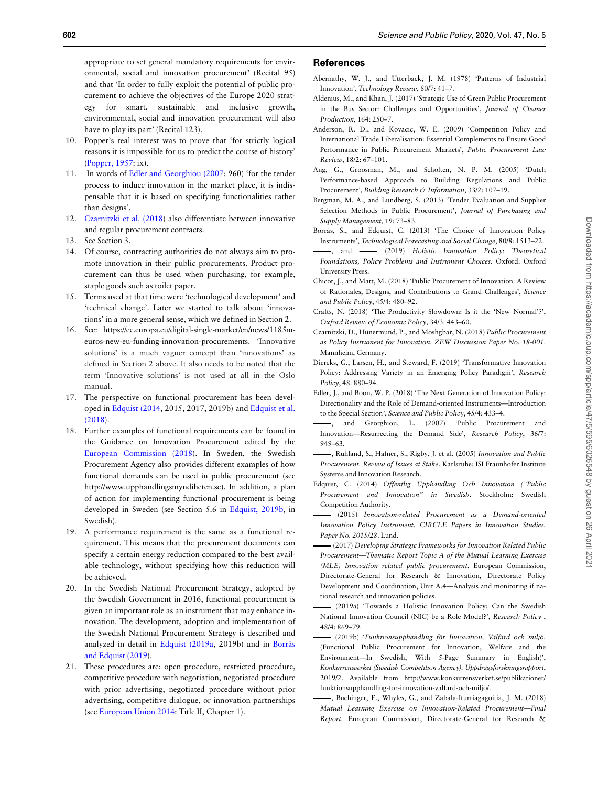<span id="page-7-0"></span>appropriate to set general mandatory requirements for environmental, social and innovation procurement' (Recital 95) and that 'In order to fully exploit the potential of public procurement to achieve the objectives of the Europe 2020 strategy for smart, sustainable and inclusive growth, environmental, social and innovation procurement will also have to play its part' (Recital 123).

- 10. Popper's real interest was to prove that 'for strictly logical reasons it is impossible for us to predict the course of history' ([Popper, 1957:](#page-8-0) ix).
- 11. In words of Edler and Georghiou (2007: 960) 'for the tender process to induce innovation in the market place, it is indispensable that it is based on specifying functionalities rather than designs'.
- 12. Czarnitzki et al. (2018) also differentiate between innovative and regular procurement contracts.
- 13. See Section 3.
- 14. Of course, contracting authorities do not always aim to promote innovation in their public procurements. Product procurement can thus be used when purchasing, for example, staple goods such as toilet paper.
- 15. Terms used at that time were 'technological development' and 'technical change'. Later we started to talk about 'innovations' in a more general sense, which we defined in Section 2.
- 16. See: [https://ec.europa.eu/digital-single-market/en/news/1185m](https://ec.europa.eu/digital-single-market/en/news/1185m-euros-new-eu-funding-innovation-procurements)[euros-new-eu-funding-innovation-procurements](https://ec.europa.eu/digital-single-market/en/news/1185m-euros-new-eu-funding-innovation-procurements). 'Innovative solutions' is a much vaguer concept than 'innovations' as defined in Section 2 above. It also needs to be noted that the term 'Innovative solutions' is not used at all in the Oslo manual.
- 17. The perspective on functional procurement has been developed in Edquist (2014, 2015, 2017, 2019b) and Edquist et al. (2018).
- 18. Further examples of functional requirements can be found in the Guidance on Innovation Procurement edited by the [European Commission \(2018\)](#page-8-0). In Sweden, the Swedish Procurement Agency also provides different examples of how functional demands can be used in public procurement (see http://www.upphandlingsmyndiheten.se). In addition, a plan of action for implementing functional procurement is being developed in Sweden (see Section 5.6 in Edquist, 2019b, in Swedish).
- 19. A performance requirement is the same as a functional requirement. This means that the procurement documents can specify a certain energy reduction compared to the best available technology, without specifying how this reduction will be achieved.
- 20. In the Swedish National Procurement Strategy, adopted by the Swedish Government in 2016, functional procurement is given an important role as an instrument that may enhance innovation. The development, adoption and implementation of the Swedish National Procurement Strategy is described and analyzed in detail in Edquist (2019a, 2019b) and in Borrás and Edquist (2019).
- 21. These procedures are: open procedure, restricted procedure, competitive procedure with negotiation, negotiated procedure with prior advertising, negotiated procedure without prior advertising, competitive dialogue, or innovation partnerships (see [European Union 2014:](#page-8-0) Title II, Chapter 1).

## References

- Abernathy, W. J., and Utterback, J. M. (1978) 'Patterns of Industrial Innovation', Technology Review, 80/7: 41–7.
- Aldenius, M., and Khan, J. (2017) 'Strategic Use of Green Public Procurement in the Bus Sector: Challenges and Opportunities', Journal of Cleaner Production, 164: 250–7.
- Anderson, R. D., and Kovacic, W. E. (2009) 'Competition Policy and International Trade Liberalisation: Essential Complements to Ensure Good Performance in Public Procurement Markets', Public Procurement Law Review, 18/2: 67–101.
- Ang, G., Groosman, M., and Scholten, N. P. M. (2005) 'Dutch Performance-based Approach to Building Regulations and Public Procurement', Building Research & Information, 33/2: 107-19.
- Bergman, M. A., and Lundberg, S. (2013) 'Tender Evaluation and Supplier Selection Methods in Public Procurement', Journal of Purchasing and Supply Management, 19: 73–83.
- Borrás, S., and Edquist, C. (2013) 'The Choice of Innovation Policy Instruments', Technological Forecasting and Social Change, 80/8: 1513–22.
- -, and (2019) Holistic Innovation Policy: Theoretical Foundations, Policy Problems and Instrument Choices. Oxford: Oxford University Press.
- Chicot, J., and Matt, M. (2018) 'Public Procurement of Innovation: A Review of Rationales, Designs, and Contributions to Grand Challenges', Science and Public Policy, 45/4: 480–92.
- Crafts, N. (2018) 'The Productivity Slowdown: Is it the 'New Normal'?', Oxford Review of Economic Policy, 34/3: 443–60.
- Czarnitzki, D., Hünermund, P., and Moshgbar, N. (2018) Public Procurement as Policy Instrument for Innovation. ZEW Discussion Paper No. 18-001. Mannheim, Germany.
- Diercks, G., Larsen, H., and Steward, F. (2019) 'Transformative Innovation Policy: Addressing Variety in an Emerging Policy Paradigm', Research Policy, 48: 880–94.
- Edler, J., and Boon, W. P. (2018) 'The Next Generation of Innovation Policy: Directionality and the Role of Demand-oriented Instruments—Introduction to the Special Section', Science and Public Policy, 45/4: 433–4.
- , and Georghiou, L. (2007) 'Public Procurement and Innovation—Resurrecting the Demand Side', Research Policy, 36/7: 949–63.
- , Ruhland, S., Hafner, S., Rigby, J. et al. (2005) Innovation and Public Procurement. Review of Issues at Stake. Karlsruhe: ISI Fraunhofer Institute Systems and Innovation Research.
- Edquist, C. (2014) Offentlig Upphandling Och Innovation ("Public Procurement and Innovation" in Swedish. Stockholm: Swedish Competition Authority.
- (2015) Innovation-related Procurement as a Demand-oriented Innovation Policy Instrument. CIRCLE Papers in Innovation Studies, Paper No. 2015/28. Lund.
- (2017) Developing Strategic Frameworks for Innovation Related Public Procurement—Thematic Report Topic A of the Mutual Learning Exercise (MLE) Innovation related public procurement. European Commission, Directorate-General for Research & Innovation, Directorate Policy Development and Coordination, Unit A.4—Analysis and monitoring if national research and innovation policies.
- (2019a) 'Towards a Holistic Innovation Policy: Can the Swedish National Innovation Council (NIC) be a Role Model?', Research Policy , 48/4: 869–79.
- (2019b) 'Funktionsupphandling för Innovation, Välfärd och miljö. (Functional Public Procurement for Innovation, Welfare and the Environment—In Swedish, With 5-Page Summary in English)', Konkurrensverket (Swedish Competition Agency). Uppdragsforskningsrapport, 2019/2. Available from [http://www.konkurrensverket.se/publikationer/](http://www.konkurrensverket.se/publikationer/funktionsupphandling-for-innovation-valfard-och-miljo/) [funktionsupphandling-for-innovation-valfard-och-miljo/](http://www.konkurrensverket.se/publikationer/funktionsupphandling-for-innovation-valfard-och-miljo/).
- , Buchinger, E., Whyles, G., and Zabala-Iturriagagoitia, J. M. (2018) Mutual Learning Exercise on Innovation-Related Procurement—Final Report. European Commission, Directorate-General for Research &